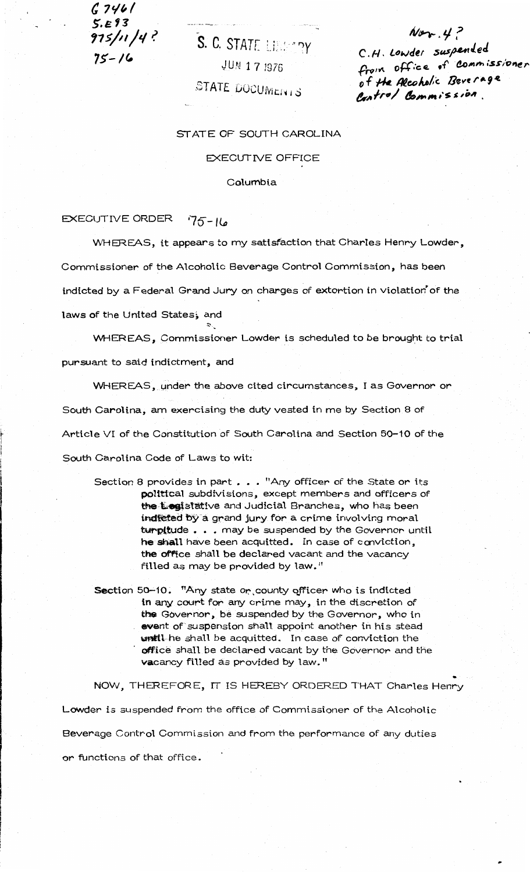$G$  746/  $5.593$  $975/11/4$ ?  $75 - 16$ 

# S. C. STATE LIBRARY JUN 17 1976 STATE DOCUMENTS

 $Ner.4?$ C.H. Lowder suspended from office of commissioner of the Alcoholic Beverage Control Commission.

## STATE OF SOUTH CAROLINA

### **EXECUTIVE OFFICE**

### Columbia

#### **EXECUTIVE ORDER**  $75 - 16$

WHEREAS, it appears to my satisfaction that Charles Henry Lowder,

Commissioner of the Alcoholic Beverage Control Commission, has been

indicted by a Federal Grand Jury on charges of extortion in violation of the

laws of the United States, and

WHEREAS, Commissioner Lowder is scheduled to be brought to trial pursuant to said indictment, and

WHEREAS, under the above cited circumstances, I as Governor or South Carolina, am exercising the duty vested in me by Section 8 of Article VI of the Constitution of South Carolina and Section 50-10 of the South Carolina Code of Laws to wit:

- Section 8 provides in part . . . "Any officer of the State or its political subdivisions, except members and officers of the Eogistative and Judicial Branches, who has been indleted by a grand jury for a crime involving moral turpitude . . . may be suspended by the Governor until he shall have been acquitted. In case of conviction, the office shall be declared vacant and the vacancy filled as may be provided by law."
- Section 50-10. "Any state or county officer who is indicted in any court for any crime may, in the discretion of the Governor, be suspended by the Governor, who in event of suspension shall appoint another in his stead until-he shall be acquitted. In case of conviction the office shall be declared vacant by the Governor and the vacancy filled as provided by law."

NOW, THEREFORE, IT IS HEREBY ORDERED THAT Charles Henry Lowder is suspended from the office of Commissioner of the Alcoholic Beverage Control Commission and from the performance of any duties or functions of that office.